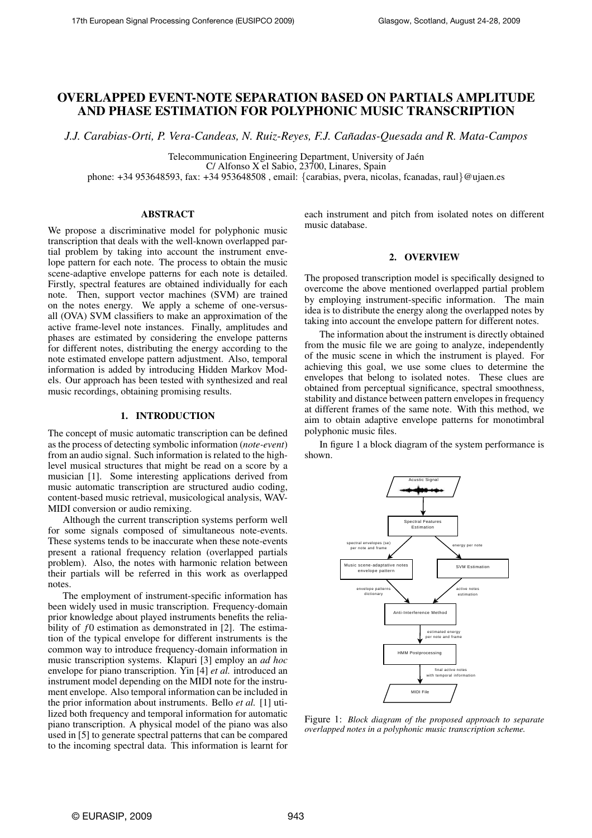# OVERLAPPED EVENT-NOTE SEPARATION BASED ON PARTIALS AMPLITUDE AND PHASE ESTIMATION FOR POLYPHONIC MUSIC TRANSCRIPTION

*J.J. Carabias-Orti, P. Vera-Candeas, N. Ruiz-Reyes, F.J. Canadas-Quesada and R. Mata-Campos ˜*

Telecommunication Engineering Department, University of Jaén

C/ Alfonso X el Sabio, 23700, Linares, Spain

phone: +34 953648593, fax: +34 953648508 , email: {carabias, pvera, nicolas, fcanadas, raul}@ujaen.es

## ABSTRACT

We propose a discriminative model for polyphonic music transcription that deals with the well-known overlapped partial problem by taking into account the instrument envelope pattern for each note. The process to obtain the music scene-adaptive envelope patterns for each note is detailed. Firstly, spectral features are obtained individually for each note. Then, support vector machines (SVM) are trained on the notes energy. We apply a scheme of one-versusall (OVA) SVM classifiers to make an approximation of the active frame-level note instances. Finally, amplitudes and phases are estimated by considering the envelope patterns for different notes, distributing the energy according to the note estimated envelope pattern adjustment. Also, temporal information is added by introducing Hidden Markov Models. Our approach has been tested with synthesized and real music recordings, obtaining promising results.

### 1. INTRODUCTION

The concept of music automatic transcription can be defined as the process of detecting symbolic information (*note-event*) from an audio signal. Such information is related to the highlevel musical structures that might be read on a score by a musician [1]. Some interesting applications derived from music automatic transcription are structured audio coding, content-based music retrieval, musicological analysis, WAV-MIDI conversion or audio remixing.

Although the current transcription systems perform well for some signals composed of simultaneous note-events. These systems tends to be inaccurate when these note-events present a rational frequency relation (overlapped partials problem). Also, the notes with harmonic relation between their partials will be referred in this work as overlapped notes.

The employment of instrument-specific information has been widely used in music transcription. Frequency-domain prior knowledge about played instruments benefits the reliability of *f*0 estimation as demonstrated in [2]. The estimation of the typical envelope for different instruments is the common way to introduce frequency-domain information in music transcription systems. Klapuri [3] employ an *ad hoc* envelope for piano transcription. Yin [4] *et al.* introduced an instrument model depending on the MIDI note for the instrument envelope. Also temporal information can be included in the prior information about instruments. Bello *et al.* [1] utilized both frequency and temporal information for automatic piano transcription. A physical model of the piano was also used in [5] to generate spectral patterns that can be compared to the incoming spectral data. This information is learnt for each instrument and pitch from isolated notes on different music database.

## 2. OVERVIEW

The proposed transcription model is specifically designed to overcome the above mentioned overlapped partial problem by employing instrument-specific information. The main idea is to distribute the energy along the overlapped notes by taking into account the envelope pattern for different notes.

The information about the instrument is directly obtained from the music file we are going to analyze, independently of the music scene in which the instrument is played. For achieving this goal, we use some clues to determine the envelopes that belong to isolated notes. These clues are obtained from perceptual significance, spectral smoothness, stability and distance between pattern envelopes in frequency at different frames of the same note. With this method, we aim to obtain adaptive envelope patterns for monotimbral polyphonic music files.

In figure 1 a block diagram of the system performance is shown.



Figure 1: *Block diagram of the proposed approach to separate overlapped notes in a polyphonic music transcription scheme.*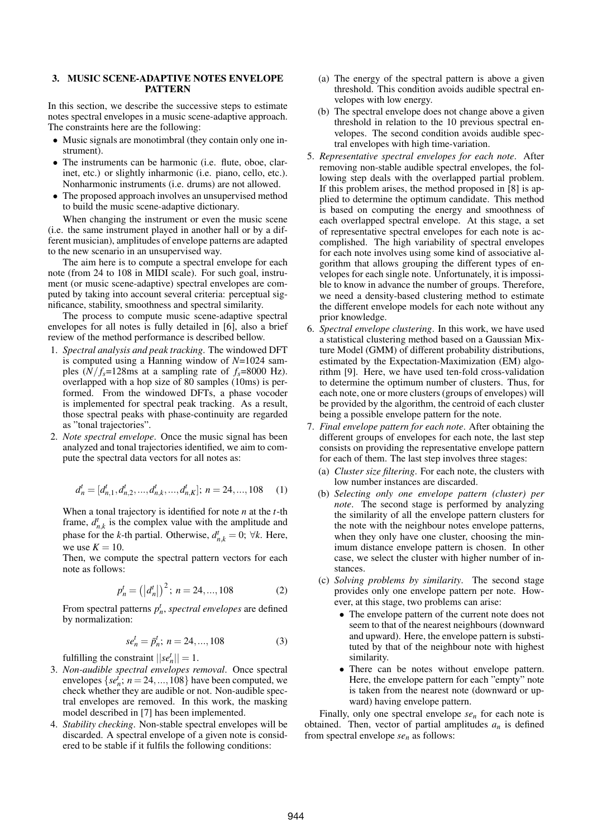## 3. MUSIC SCENE-ADAPTIVE NOTES ENVELOPE PATTERN

In this section, we describe the successive steps to estimate notes spectral envelopes in a music scene-adaptive approach. The constraints here are the following:

- Music signals are monotimbral (they contain only one instrument).
- The instruments can be harmonic (i.e. flute, oboe, clarinet, etc.) or slightly inharmonic (i.e. piano, cello, etc.). Nonharmonic instruments (i.e. drums) are not allowed.
- The proposed approach involves an unsupervised method to build the music scene-adaptive dictionary.

When changing the instrument or even the music scene (i.e. the same instrument played in another hall or by a different musician), amplitudes of envelope patterns are adapted to the new scenario in an unsupervised way.

The aim here is to compute a spectral envelope for each note (from 24 to 108 in MIDI scale). For such goal, instrument (or music scene-adaptive) spectral envelopes are computed by taking into account several criteria: perceptual significance, stability, smoothness and spectral similarity.

The process to compute music scene-adaptive spectral envelopes for all notes is fully detailed in [6], also a brief review of the method performance is described bellow.

- 1. *Spectral analysis and peak tracking*. The windowed DFT is computed using a Hanning window of *N*=1024 samples  $(N/f_s=128\text{ms at a sampling rate of } f_s=8000 \text{ Hz}.$ overlapped with a hop size of 80 samples (10ms) is performed. From the windowed DFTs, a phase vocoder is implemented for spectral peak tracking. As a result, those spectral peaks with phase-continuity are regarded as "tonal trajectories".
- 2. *Note spectral envelope*. Once the music signal has been analyzed and tonal trajectories identified, we aim to compute the spectral data vectors for all notes as:

$$
d_n^t = [d_{n,1}^t, d_{n,2}^t, \dots, d_{n,k}^t, \dots, d_{n,K}^t]; \ n = 24, \dots, 108 \quad (1)
$$

When a tonal trajectory is identified for note *n* at the *t*-th frame,  $d_{n,k}^t$  is the complex value with the amplitude and phase for the *k*-th partial. Otherwise,  $d_{n,k}^t = 0$ ;  $\forall k$ . Here, we use  $K = 10$ .

Then, we compute the spectral pattern vectors for each note as follows:

$$
p_n^t = (|d_n^t|)^2; \ n = 24, ..., 108
$$
 (2)

From spectral patterns  $p_n^t$ , *spectral envelopes* are defined by normalization:

$$
se_n^t = \bar{p}_n^t; \ n = 24, \dots, 108 \tag{3}
$$

fulfilling the constraint  $||se_n^t|| = 1$ .

- 3. *Non-audible spectral envelopes removal*. Once spectral envelopes  $\{se_n^i; n = 24, ..., 108\}$  have been computed, we check whether they are audible or not. Non-audible spectral envelopes are removed. In this work, the masking model described in [7] has been implemented.
- 4. *Stability checking*. Non-stable spectral envelopes will be discarded. A spectral envelope of a given note is considered to be stable if it fulfils the following conditions:
- (a) The energy of the spectral pattern is above a given threshold. This condition avoids audible spectral envelopes with low energy.
- (b) The spectral envelope does not change above a given threshold in relation to the 10 previous spectral envelopes. The second condition avoids audible spectral envelopes with high time-variation.
- 5. *Representative spectral envelopes for each note*. After removing non-stable audible spectral envelopes, the following step deals with the overlapped partial problem. If this problem arises, the method proposed in [8] is applied to determine the optimum candidate. This method is based on computing the energy and smoothness of each overlapped spectral envelope. At this stage, a set of representative spectral envelopes for each note is accomplished. The high variability of spectral envelopes for each note involves using some kind of associative algorithm that allows grouping the different types of envelopes for each single note. Unfortunately, it is impossible to know in advance the number of groups. Therefore, we need a density-based clustering method to estimate the different envelope models for each note without any prior knowledge.
- 6. *Spectral envelope clustering*. In this work, we have used a statistical clustering method based on a Gaussian Mixture Model (GMM) of different probability distributions, estimated by the Expectation-Maximization (EM) algorithm [9]. Here, we have used ten-fold cross-validation to determine the optimum number of clusters. Thus, for each note, one or more clusters (groups of envelopes) will be provided by the algorithm, the centroid of each cluster being a possible envelope pattern for the note.
- 7. *Final envelope pattern for each note*. After obtaining the different groups of envelopes for each note, the last step consists on providing the representative envelope pattern for each of them. The last step involves three stages:
	- (a) *Cluster size filtering*. For each note, the clusters with low number instances are discarded.
	- (b) *Selecting only one envelope pattern (cluster) per note*. The second stage is performed by analyzing the similarity of all the envelope pattern clusters for the note with the neighbour notes envelope patterns, when they only have one cluster, choosing the minimum distance envelope pattern is chosen. In other case, we select the cluster with higher number of instances.
	- (c) *Solving problems by similarity*. The second stage provides only one envelope pattern per note. However, at this stage, two problems can arise:
		- The envelope pattern of the current note does not seem to that of the nearest neighbours (downward and upward). Here, the envelope pattern is substituted by that of the neighbour note with highest similarity.
		- There can be notes without envelope pattern. Here, the envelope pattern for each "empty" note is taken from the nearest note (downward or upward) having envelope pattern.

Finally, only one spectral envelope *se<sup>n</sup>* for each note is obtained. Then, vector of partial amplitudes  $a_n$  is defined from spectral envelope *se<sup>n</sup>* as follows: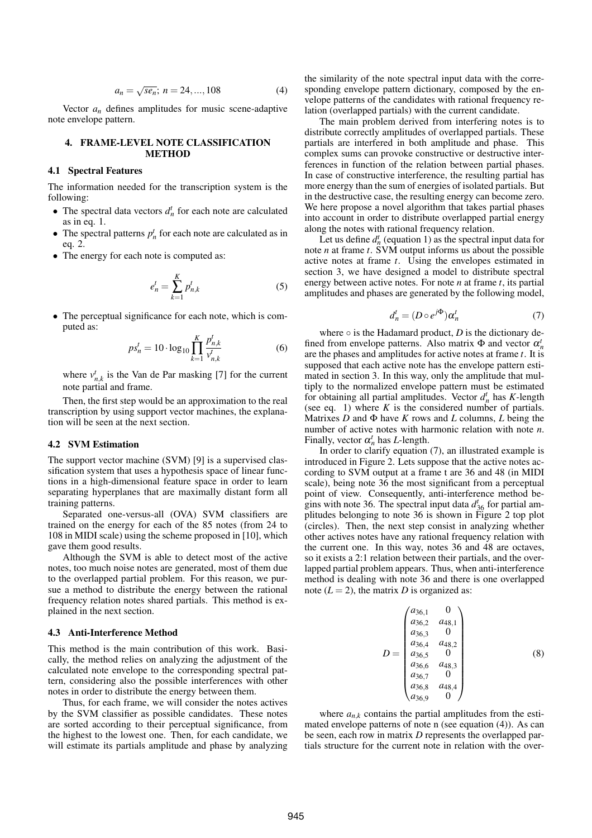$$
a_n = \sqrt{se_n}; n = 24, ..., 108
$$
 (4)

Vector  $a_n$  defines amplitudes for music scene-adaptive note envelope pattern.

#### 4. FRAME-LEVEL NOTE CLASSIFICATION **METHOD**

## 4.1 Spectral Features

The information needed for the transcription system is the following:

- The spectral data vectors  $d_n^t$  for each note are calculated as in eq. 1.
- The spectral patterns  $p_n^t$  for each note are calculated as in eq. 2.
- The energy for each note is computed as:

$$
e_n^t = \sum_{k=1}^K p_{n,k}^t
$$
 (5)

• The perceptual significance for each note, which is computed as:

$$
ps_n^t = 10 \cdot \log_{10} \prod_{k=1}^K \frac{p_{n,k}^t}{v_{n,k}^t}
$$
 (6)

where  $v_{n,k}^t$  is the Van de Par masking [7] for the current note partial and frame.

Then, the first step would be an approximation to the real transcription by using support vector machines, the explanation will be seen at the next section.

#### 4.2 SVM Estimation

The support vector machine (SVM) [9] is a supervised classification system that uses a hypothesis space of linear functions in a high-dimensional feature space in order to learn separating hyperplanes that are maximally distant form all training patterns.

Separated one-versus-all (OVA) SVM classifiers are trained on the energy for each of the 85 notes (from 24 to 108 in MIDI scale) using the scheme proposed in [10], which gave them good results.

Although the SVM is able to detect most of the active notes, too much noise notes are generated, most of them due to the overlapped partial problem. For this reason, we pursue a method to distribute the energy between the rational frequency relation notes shared partials. This method is explained in the next section.

#### 4.3 Anti-Interference Method

This method is the main contribution of this work. Basically, the method relies on analyzing the adjustment of the calculated note envelope to the corresponding spectral pattern, considering also the possible interferences with other notes in order to distribute the energy between them.

Thus, for each frame, we will consider the notes actives by the SVM classifier as possible candidates. These notes are sorted according to their perceptual significance, from the highest to the lowest one. Then, for each candidate, we will estimate its partials amplitude and phase by analyzing the similarity of the note spectral input data with the corresponding envelope pattern dictionary, composed by the envelope patterns of the candidates with rational frequency relation (overlapped partials) with the current candidate.

The main problem derived from interfering notes is to distribute correctly amplitudes of overlapped partials. These partials are interfered in both amplitude and phase. This complex sums can provoke constructive or destructive interferences in function of the relation between partial phases. In case of constructive interference, the resulting partial has more energy than the sum of energies of isolated partials. But in the destructive case, the resulting energy can become zero. We here propose a novel algorithm that takes partial phases into account in order to distribute overlapped partial energy along the notes with rational frequency relation.

Let us define  $d_n^t$  (equation 1) as the spectral input data for note *n* at frame *t*. SVM output informs us about the possible active notes at frame *t*. Using the envelopes estimated in section 3, we have designed a model to distribute spectral energy between active notes. For note *n* at frame *t*, its partial amplitudes and phases are generated by the following model,

$$
d_n^t = (D \circ e^{j\Phi}) \alpha_n^t \tag{7}
$$

where  $\circ$  is the Hadamard product, *D* is the dictionary defined from envelope patterns. Also matrix  $\Phi$  and vector  $\alpha_n^t$ are the phases and amplitudes for active notes at frame *t*. It is supposed that each active note has the envelope pattern estimated in section 3. In this way, only the amplitude that multiply to the normalized envelope pattern must be estimated for obtaining all partial amplitudes. Vector  $d_n^t$  has *K*-length (see eq. 1) where  $K$  is the considered number of partials. Matrixes  $D$  and  $\Phi$  have  $K$  rows and  $L$  columns,  $L$  being the number of active notes with harmonic relation with note *n*. Finally, vector  $\alpha_n^t$  has *L*-length.

In order to clarify equation (7), an illustrated example is introduced in Figure 2. Lets suppose that the active notes according to SVM output at a frame t are 36 and 48 (in MIDI scale), being note 36 the most significant from a perceptual point of view. Consequently, anti-interference method begins with note 36. The spectral input data  $d_{36}^{t}$  for partial amplitudes belonging to note 36 is shown in Figure 2 top plot (circles). Then, the next step consist in analyzing whether other actives notes have any rational frequency relation with the current one. In this way, notes 36 and 48 are octaves, so it exists a 2:1 relation between their partials, and the overlapped partial problem appears. Thus, when anti-interference method is dealing with note 36 and there is one overlapped note  $(L = 2)$ , the matrix *D* is organized as:

$$
D = \begin{pmatrix} a_{36,1} & 0 \\ a_{36,2} & a_{48,1} \\ a_{36,3} & 0 \\ a_{36,4} & a_{48,2} \\ a_{36,5} & 0 \\ a_{36,6} & a_{48,3} \\ a_{36,7} & 0 \\ a_{36,8} & a_{48,4} \\ a_{36,9} & 0 \end{pmatrix}
$$
 (8)

where  $a_{n,k}$  contains the partial amplitudes from the estimated envelope patterns of note n (see equation (4)). As can be seen, each row in matrix *D* represents the overlapped partials structure for the current note in relation with the over-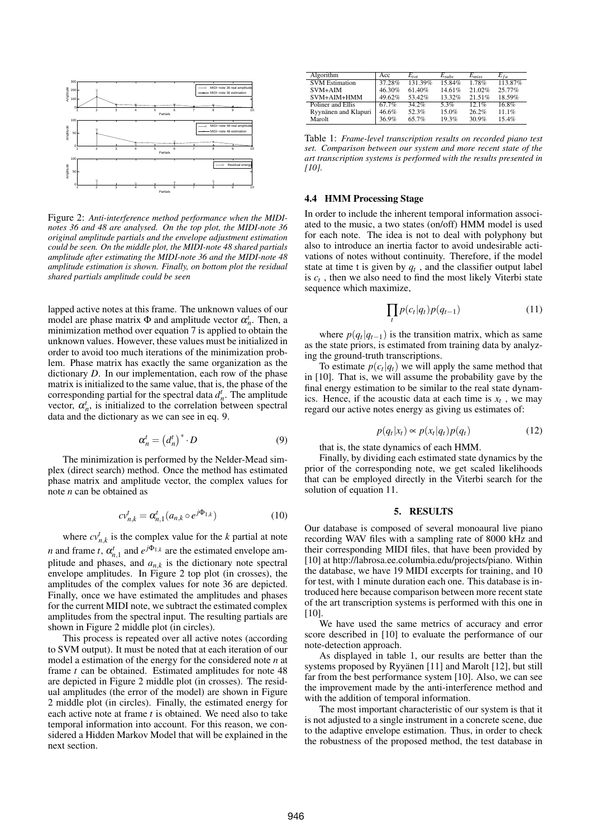

Figure 2: *Anti-interference method performance when the MIDInotes 36 and 48 are analysed. On the top plot, the MIDI-note 36 original amplitude partials and the envelope adjustment estimation could be seen. On the middle plot, the MIDI-note 48 shared partials amplitude after estimating the MIDI-note 36 and the MIDI-note 48 amplitude estimation is shown. Finally, on bottom plot the residual shared partials amplitude could be seen*

lapped active notes at this frame. The unknown values of our model are phase matrix  $\Phi$  and amplitude vector  $\alpha_n^t$ . Then, a minimization method over equation 7 is applied to obtain the unknown values. However, these values must be initialized in order to avoid too much iterations of the minimization problem. Phase matrix has exactly the same organization as the dictionary *D*. In our implementation, each row of the phase matrix is initialized to the same value, that is, the phase of the corresponding partial for the spectral data  $d<sub>n</sub><sup>t</sup>$ . The amplitude vector,  $\alpha_n^t$ , is initialized to the correlation between spectral data and the dictionary as we can see in eq. 9.

$$
\alpha_n^t = \left(d_n^t\right)^* \cdot D \tag{9}
$$

The minimization is performed by the Nelder-Mead simplex (direct search) method. Once the method has estimated phase matrix and amplitude vector, the complex values for note *n* can be obtained as

$$
cv_{n,k}^t = \alpha_{n,1}^t (a_{n,k} \circ e^{j\Phi_{1,k}})
$$
 (10)

where  $cv_{n,k}^t$  is the complex value for the *k* partial at note *n* and frame *t*,  $\alpha_{n,1}^t$  and  $e^{j\Phi_{1,k}}$  are the estimated envelope amplitude and phases, and  $a_{n,k}$  is the dictionary note spectral envelope amplitudes. In Figure 2 top plot (in crosses), the amplitudes of the complex values for note 36 are depicted. Finally, once we have estimated the amplitudes and phases for the current MIDI note, we subtract the estimated complex amplitudes from the spectral input. The resulting partials are shown in Figure 2 middle plot (in circles).

This process is repeated over all active notes (according to SVM output). It must be noted that at each iteration of our model a estimation of the energy for the considered note *n* at frame *t* can be obtained. Estimated amplitudes for note 48 are depicted in Figure 2 middle plot (in crosses). The residual amplitudes (the error of the model) are shown in Figure 2 middle plot (in circles). Finally, the estimated energy for each active note at frame *t* is obtained. We need also to take temporal information into account. For this reason, we considered a Hidden Markov Model that will be explained in the next section.

| Algorithm             | Acc    | $E_{tot}$ | $E_{subs}$ | $E_{miss}$ | $E_{fa}$ |
|-----------------------|--------|-----------|------------|------------|----------|
| <b>SVM Estimation</b> | 37.28% | 131.39%   | 15.84%     | 1.78%      | 113.87%  |
| $SVM+AIM$             | 46.30% | 61.40%    | 14.61%     | 21.02%     | 25.77%   |
| SVM+AIM+HMM           | 49.62% | 53.42%    | 13.32%     | 21.51%     | 18.59%   |
| Poliner and Ellis     | 67.7%  | $34.2\%$  | $5.3\%$    | 12.1%      | 16.8%    |
| Ryynänen and Klapuri  | 46.6%  | 52.3%     | 15.0%      | 26.2%      | 11.1%    |
| Marolt                | 36.9%  | 65.7%     | 19.3%      | 30.9%      | 15.4%    |

Table 1: *Frame-level transcription results on recorded piano test set. Comparison between our system and more recent state of the art transcription systems is performed with the results presented in [10].*

## 4.4 HMM Processing Stage

In order to include the inherent temporal information associated to the music, a two states (on/off) HMM model is used for each note. The idea is not to deal with polyphony but also to introduce an inertia factor to avoid undesirable activations of notes without continuity. Therefore, if the model state at time t is given by  $q_t$ , and the classifier output label is  $c_t$ , then we also need to find the most likely Viterbi state sequence which maximize,

$$
\prod_t p(c_t|q_t)p(q_{t-1})\tag{11}
$$

where  $p(q_t|q_{t-1})$  is the transition matrix, which as same as the state priors, is estimated from training data by analyzing the ground-truth transcriptions.

To estimate  $p(c_t|q_t)$  we will apply the same method that in [10]. That is, we will assume the probability gave by the final energy estimation to be similar to the real state dynamics. Hence, if the acoustic data at each time is  $x_t$ , we may regard our active notes energy as giving us estimates of:

$$
p(q_t|x_t) \propto p(x_t|q_t)p(q_t) \tag{12}
$$

that is, the state dynamics of each HMM.

Finally, by dividing each estimated state dynamics by the prior of the corresponding note, we get scaled likelihoods that can be employed directly in the Viterbi search for the solution of equation 11.

#### 5. RESULTS

Our database is composed of several monoaural live piano recording WAV files with a sampling rate of 8000 kHz and their corresponding MIDI files, that have been provided by [10] at http://labrosa.ee.columbia.edu/projects/piano. Within the database, we have 19 MIDI excerpts for training, and 10 for test, with 1 minute duration each one. This database is introduced here because comparison between more recent state of the art transcription systems is performed with this one in  $[10]$ .

We have used the same metrics of accuracy and error score described in [10] to evaluate the performance of our note-detection approach.

As displayed in table 1, our results are better than the systems proposed by Ryyanen  $[11]$  and Marolt  $[12]$ , but still far from the best performance system [10]. Also, we can see the improvement made by the anti-interference method and with the addition of temporal information.

The most important characteristic of our system is that it is not adjusted to a single instrument in a concrete scene, due to the adaptive envelope estimation. Thus, in order to check the robustness of the proposed method, the test database in